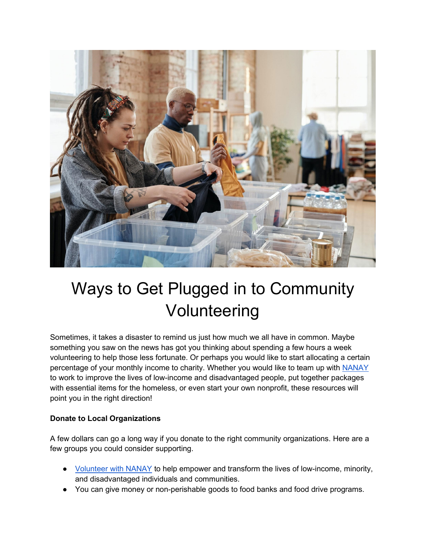

## Ways to Get Plugged in to Community Volunteering

Sometimes, it takes a disaster to remind us just how much we all have in common. Maybe something you saw on the news has got you thinking about spending a few hours a week volunteering to help those less fortunate. Or perhaps you would like to start allocating a certain percentage of your monthly income to charity. Whether you would like to team up with [NANAY](https://www.nanay.com/) to work to improve the lives of low-income and disadvantaged people, put together packages with essential items for the homeless, or even start your own nonprofit, these resources will point you in the right direction!

## **Donate to Local Organizations**

A few dollars can go a long way if you donate to the right community organizations. Here are a few groups you could consider supporting.

- [Volunteer with NANAY](https://www.nanay.com/get-involved) to help empower and transform the lives of low-income, minority, and disadvantaged individuals and communities.
- You can give money or non-perishable goods to food banks and food drive programs.